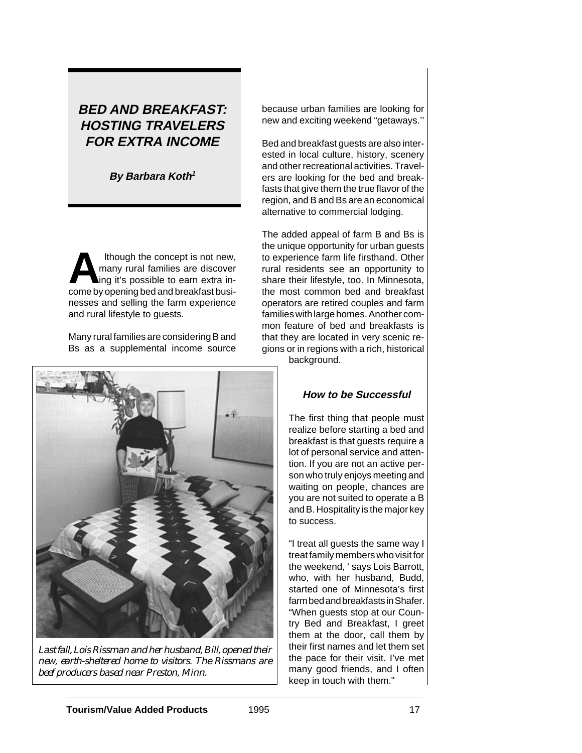# **BED AND BREAKFAST: HOSTING TRAVELERS FOR EXTRA INCOME**

**By Barbara Koth<sup>1</sup>**

Ithough the concept is not new,<br>
many rural families are discover<br>
ing it's possible to earn extra in-<br>
come by opening hed and breakfast busi many rural families are discover come by opening bed and breakfast businesses and selling the farm experience and rural lifestyle to guests.

Many rural families are considering B and Bs as a supplemental income source



*Last fall, Lois Rissman and her husband, Bill, opened their new, earth-sheltered home to visitors. The Rissmans are beef producers based near Preston, Minn.*

because urban families are looking for new and exciting weekend "getaways.''

Bed and breakfast guests are also interested in local culture, history, scenery and other recreational activities. Travelers are looking for the bed and breakfasts that give them the true flavor of the region, and B and Bs are an economical alternative to commercial lodging.

The added appeal of farm B and Bs is the unique opportunity for urban guests to experience farm life firsthand. Other rural residents see an opportunity to share their lifestyle, too. In Minnesota, the most common bed and breakfast operators are retired couples and farm families with large homes. Another common feature of bed and breakfasts is that they are located in very scenic regions or in regions with a rich, historical

background.

## **How to be Successful**

The first thing that people must realize before starting a bed and breakfast is that guests require a lot of personal service and attention. If you are not an active person who truly enjoys meeting and waiting on people, chances are you are not suited to operate a B and B. Hospitality is the major key to success.

"I treat all guests the same way I treat family members who visit for the weekend, ' says Lois Barrott, who, with her husband, Budd, started one of Minnesota's first farm bed and breakfasts in Shafer. "When guests stop at our Country Bed and Breakfast, I greet them at the door, call them by their first names and let them set the pace for their visit. I've met many good friends, and I often keep in touch with them."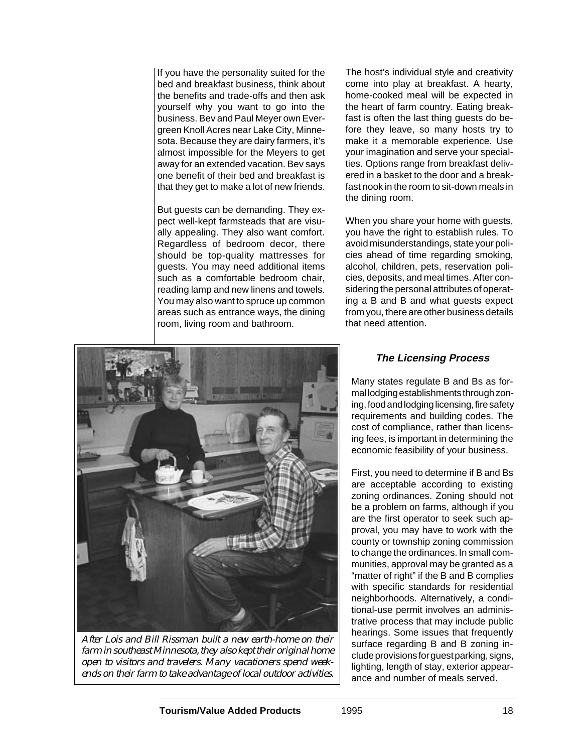If you have the personality suited for the bed and breakfast business, think about the benefits and trade-offs and then ask yourself why you want to go into the business. Bev and Paul Meyer own Evergreen Knoll Acres near Lake City, Minnesota. Because they are dairy farmers, it's almost impossible for the Meyers to get away for an extended vacation. Bev says one benefit of their bed and breakfast is that they get to make a lot of new friends.

But guests can be demanding. They expect well-kept farmsteads that are visually appealing. They also want comfort. Regardless of bedroom decor, there should be top-quality mattresses for guests. You may need additional items such as a comfortable bedroom chair, reading lamp and new linens and towels. You may also want to spruce up common areas such as entrance ways, the dining room, living room and bathroom.

The host's individual style and creativity come into play at breakfast. A hearty, home-cooked meal will be expected in the heart of farm country. Eating breakfast is often the last thing guests do before they leave, so many hosts try to make it a memorable experience. Use your imagination and serve your specialties. Options range from breakfast delivered in a basket to the door and a breakfast nook in the room to sit-down meals in the dining room.

When you share your home with guests, you have the right to establish rules. To avoid misunderstandings, state your policies ahead of time regarding smoking, alcohol, children, pets, reservation policies, deposits, and meal times. After considering the personal attributes of operating a B and B and what guests expect from you, there are other business details that need attention.



*After Lois and Bill Rissman built a new earth-home on their farm in southeast Minnesota, they also kept their original home open to visitors and travelers. Many vacationers spend weekends on their farm to take advantage of local outdoor activities.*

#### **The Licensing Process**

Many states regulate B and Bs as formal lodging establishments through zoning, food and lodging licensing, fire safety requirements and building codes. The cost of compliance, rather than licensing fees, is important in determining the economic feasibility of your business.

First, you need to determine if B and Bs are acceptable according to existing zoning ordinances. Zoning should not be a problem on farms, although if you are the first operator to seek such approval, you may have to work with the county or township zoning commission to change the ordinances. In small communities, approval may be granted as a "matter of right" if the B and B complies with specific standards for residential neighborhoods. Alternatively, a conditional-use permit involves an administrative process that may include public hearings. Some issues that frequently surface regarding B and B zoning include provisions for guest parking, signs, lighting, length of stay, exterior appearance and number of meals served.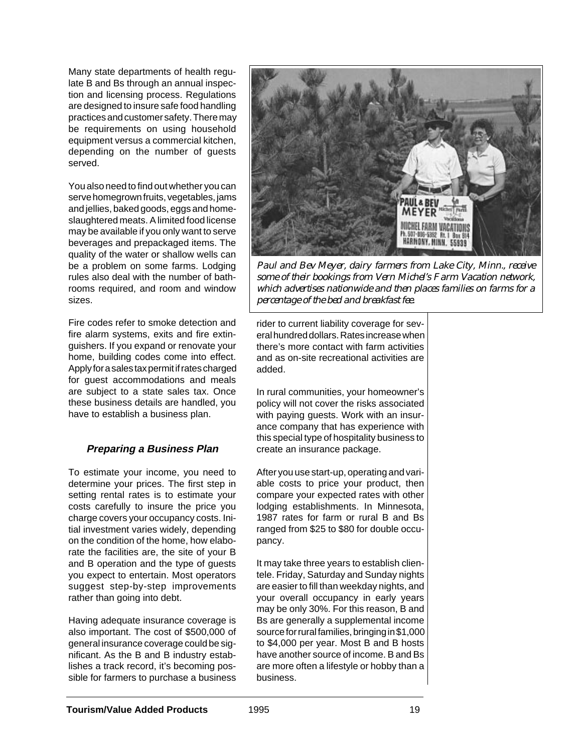Many state departments of health regulate B and Bs through an annual inspection and licensing process. Regulations are designed to insure safe food handling practices and customer safety. There may be requirements on using household equipment versus a commercial kitchen, depending on the number of guests served.

You also need to find out whether you can serve homegrown fruits, vegetables, jams and jellies, baked goods, eggs and homeslaughtered meats. A limited food license may be available if you only want to serve beverages and prepackaged items. The quality of the water or shallow wells can be a problem on some farms. Lodging rules also deal with the number of bathrooms required, and room and window sizes.

Fire codes refer to smoke detection and fire alarm systems, exits and fire extinguishers. If you expand or renovate your home, building codes come into effect. Apply for a sales tax permit if rates charged for guest accommodations and meals are subject to a state sales tax. Once these business details are handled, you have to establish a business plan.

### **Preparing a Business Plan**

To estimate your income, you need to determine your prices. The first step in setting rental rates is to estimate your costs carefully to insure the price you charge covers your occupancy costs. Initial investment varies widely, depending on the condition of the home, how elaborate the facilities are, the site of your B and B operation and the type of guests you expect to entertain. Most operators suggest step-by-step improvements rather than going into debt.

Having adequate insurance coverage is also important. The cost of \$500,000 of general insurance coverage could be significant. As the B and B industry establishes a track record, it's becoming possible for farmers to purchase a business



*Paul and Bev Meyer, dairy farmers from Lake City, Minn., receive some of their bookings from Vern Michel's Farm Vacation network, which advertises nationwide and then places families on farms for a percentage of the bed and breakfast fee.*

rider to current liability coverage for several hundred dollars. Rates increase when there's more contact with farm activities and as on-site recreational activities are added.

In rural communities, your homeowner's policy will not cover the risks associated with paying guests. Work with an insurance company that has experience with this special type of hospitality business to create an insurance package.

After you use start-up, operating and variable costs to price your product, then compare your expected rates with other lodging establishments. In Minnesota, 1987 rates for farm or rural B and Bs ranged from \$25 to \$80 for double occupancy.

It may take three years to establish clientele. Friday, Saturday and Sunday nights are easier to fill than weekday nights, and your overall occupancy in early years may be only 30%. For this reason, B and Bs are generally a supplemental income source for rural families, bringing in \$1,000 to \$4,000 per year. Most B and B hosts have another source of income. B and Bs are more often a lifestyle or hobby than a business.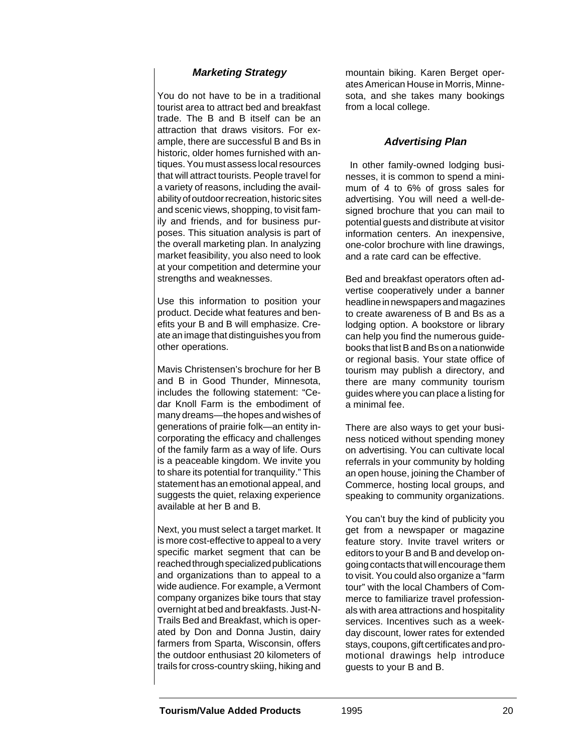### **Marketing Strategy**

You do not have to be in a traditional tourist area to attract bed and breakfast trade. The B and B itself can be an attraction that draws visitors. For example, there are successful B and Bs in historic, older homes furnished with antiques. You must assess local resources that will attract tourists. People travel for a variety of reasons, including the availability of outdoor recreation, historic sites and scenic views, shopping, to visit family and friends, and for business purposes. This situation analysis is part of the overall marketing plan. In analyzing market feasibility, you also need to look at your competition and determine your strengths and weaknesses.

Use this information to position your product. Decide what features and benefits your B and B will emphasize. Create an image that distinguishes you from other operations.

Mavis Christensen's brochure for her B and B in Good Thunder, Minnesota, includes the following statement: "Cedar Knoll Farm is the embodiment of many dreams—the hopes and wishes of generations of prairie folk—an entity incorporating the efficacy and challenges of the family farm as a way of life. Ours is a peaceable kingdom. We invite you to share its potential for tranquility." This statement has an emotional appeal, and suggests the quiet, relaxing experience available at her B and B.

Next, you must select a target market. It is more cost-effective to appeal to a very specific market segment that can be reached through specialized publications and organizations than to appeal to a wide audience. For example, a Vermont company organizes bike tours that stay overnight at bed and breakfasts. Just-N-Trails Bed and Breakfast, which is operated by Don and Donna Justin, dairy farmers from Sparta, Wisconsin, offers the outdoor enthusiast 20 kilometers of trails for cross-country skiing, hiking and mountain biking. Karen Berget operates American House in Morris, Minnesota, and she takes many bookings from a local college.

### **Advertising Plan**

 In other family-owned lodging businesses, it is common to spend a minimum of 4 to 6% of gross sales for advertising. You will need a well-designed brochure that you can mail to potential guests and distribute at visitor information centers. An inexpensive, one-color brochure with line drawings, and a rate card can be effective.

Bed and breakfast operators often advertise cooperatively under a banner headline in newspapers and magazines to create awareness of B and Bs as a lodging option. A bookstore or library can help you find the numerous guidebooks that list B and Bs on a nationwide or regional basis. Your state office of tourism may publish a directory, and there are many community tourism guides where you can place a listing for a minimal fee.

There are also ways to get your business noticed without spending money on advertising. You can cultivate local referrals in your community by holding an open house, joining the Chamber of Commerce, hosting local groups, and speaking to community organizations.

You can't buy the kind of publicity you get from a newspaper or magazine feature story. Invite travel writers or editors to your B and B and develop ongoing contacts that will encourage them to visit. You could also organize a "farm tour" with the local Chambers of Commerce to familiarize travel professionals with area attractions and hospitality services. Incentives such as a weekday discount, lower rates for extended stays, coupons, gift certificates and promotional drawings help introduce guests to your B and B.